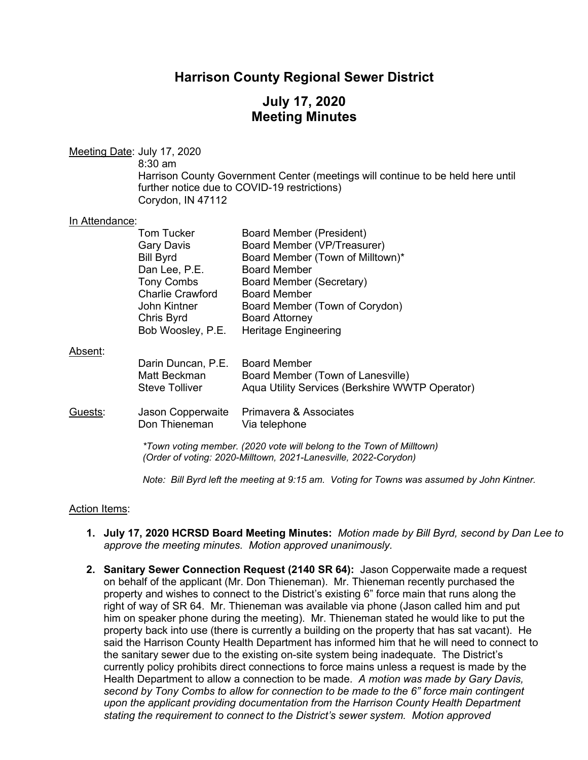### **Harrison County Regional Sewer District**

## **July 17, 2020 Meeting Minutes**

|                | Meeting Date: July 17, 2020<br>$8:30$ am<br>Corydon, IN 47112                                                                                                           | Harrison County Government Center (meetings will continue to be held here until<br>further notice due to COVID-19 restrictions)                                                                                                                                               |  |
|----------------|-------------------------------------------------------------------------------------------------------------------------------------------------------------------------|-------------------------------------------------------------------------------------------------------------------------------------------------------------------------------------------------------------------------------------------------------------------------------|--|
| In Attendance: |                                                                                                                                                                         |                                                                                                                                                                                                                                                                               |  |
|                | <b>Tom Tucker</b><br>Gary Davis<br><b>Bill Byrd</b><br>Dan Lee, P.E.<br><b>Tony Combs</b><br><b>Charlie Crawford</b><br>John Kintner<br>Chris Byrd<br>Bob Woosley, P.E. | <b>Board Member (President)</b><br>Board Member (VP/Treasurer)<br>Board Member (Town of Milltown)*<br><b>Board Member</b><br><b>Board Member (Secretary)</b><br><b>Board Member</b><br>Board Member (Town of Corydon)<br><b>Board Attorney</b><br><b>Heritage Engineering</b> |  |
| Absent:        |                                                                                                                                                                         |                                                                                                                                                                                                                                                                               |  |
|                | Darin Duncan, P.E.<br>Matt Beckman<br><b>Steve Tolliver</b>                                                                                                             | <b>Board Member</b><br>Board Member (Town of Lanesville)<br>Aqua Utility Services (Berkshire WWTP Operator)                                                                                                                                                                   |  |
| Guests:        | Jason Copperwaite<br>Don Thieneman                                                                                                                                      | Primavera & Associates<br>Via telephone                                                                                                                                                                                                                                       |  |
|                | *Town voting member. (2020 vote will belong to the Town of Milltown)<br>(Order of voting: 2020-Milltown, 2021-Lanesville, 2022-Corydon)                                 |                                                                                                                                                                                                                                                                               |  |
|                | Note: Bill Byrd left the meeting at 9:15 am. Voting for Towns was assumed by John Kintner.                                                                              |                                                                                                                                                                                                                                                                               |  |

#### Action Items:

- **1. July 17, 2020 HCRSD Board Meeting Minutes:** *Motion made by Bill Byrd, second by Dan Lee to approve the meeting minutes. Motion approved unanimously.*
- **2. Sanitary Sewer Connection Request (2140 SR 64):** Jason Copperwaite made a request on behalf of the applicant (Mr. Don Thieneman). Mr. Thieneman recently purchased the property and wishes to connect to the District's existing 6" force main that runs along the right of way of SR 64. Mr. Thieneman was available via phone (Jason called him and put him on speaker phone during the meeting). Mr. Thieneman stated he would like to put the property back into use (there is currently a building on the property that has sat vacant). He said the Harrison County Health Department has informed him that he will need to connect to the sanitary sewer due to the existing on-site system being inadequate. The District's currently policy prohibits direct connections to force mains unless a request is made by the Health Department to allow a connection to be made. *A motion was made by Gary Davis, second by Tony Combs to allow for connection to be made to the 6" force main contingent upon the applicant providing documentation from the Harrison County Health Department stating the requirement to connect to the District's sewer system. Motion approved*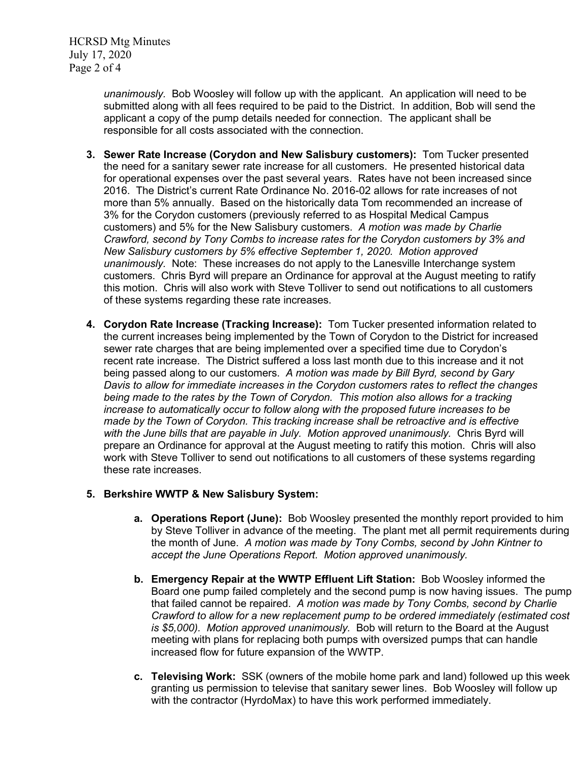HCRSD Mtg Minutes July 17, 2020 Page 2 of 4

> *unanimously.* Bob Woosley will follow up with the applicant. An application will need to be submitted along with all fees required to be paid to the District. In addition, Bob will send the applicant a copy of the pump details needed for connection. The applicant shall be responsible for all costs associated with the connection.

- **3. Sewer Rate Increase (Corydon and New Salisbury customers):** Tom Tucker presented the need for a sanitary sewer rate increase for all customers. He presented historical data for operational expenses over the past several years. Rates have not been increased since 2016. The District's current Rate Ordinance No. 2016-02 allows for rate increases of not more than 5% annually. Based on the historically data Tom recommended an increase of 3% for the Corydon customers (previously referred to as Hospital Medical Campus customers) and 5% for the New Salisbury customers. *A motion was made by Charlie Crawford, second by Tony Combs to increase rates for the Corydon customers by 3% and New Salisbury customers by 5% effective September 1, 2020. Motion approved unanimously.* Note: These increases do not apply to the Lanesville Interchange system customers. Chris Byrd will prepare an Ordinance for approval at the August meeting to ratify this motion. Chris will also work with Steve Tolliver to send out notifications to all customers of these systems regarding these rate increases.
- **4. Corydon Rate Increase (Tracking Increase):** Tom Tucker presented information related to the current increases being implemented by the Town of Corydon to the District for increased sewer rate charges that are being implemented over a specified time due to Corydon's recent rate increase. The District suffered a loss last month due to this increase and it not being passed along to our customers. *A motion was made by Bill Byrd, second by Gary Davis to allow for immediate increases in the Corydon customers rates to reflect the changes being made to the rates by the Town of Corydon. This motion also allows for a tracking increase to automatically occur to follow along with the proposed future increases to be made by the Town of Corydon. This tracking increase shall be retroactive and is effective*  with the June bills that are payable in July. Motion approved unanimously. Chris Byrd will prepare an Ordinance for approval at the August meeting to ratify this motion. Chris will also work with Steve Tolliver to send out notifications to all customers of these systems regarding these rate increases.

#### **5. Berkshire WWTP & New Salisbury System:**

- **a. Operations Report (June):** Bob Woosley presented the monthly report provided to him by Steve Tolliver in advance of the meeting. The plant met all permit requirements during the month of June. *A motion was made by Tony Combs, second by John Kintner to accept the June Operations Report. Motion approved unanimously.*
- **b. Emergency Repair at the WWTP Effluent Lift Station:** Bob Woosley informed the Board one pump failed completely and the second pump is now having issues. The pump that failed cannot be repaired. *A motion was made by Tony Combs, second by Charlie Crawford to allow for a new replacement pump to be ordered immediately (estimated cost is \$5,000). Motion approved unanimously.* Bob will return to the Board at the August meeting with plans for replacing both pumps with oversized pumps that can handle increased flow for future expansion of the WWTP.
- **c. Televising Work:** SSK (owners of the mobile home park and land) followed up this week granting us permission to televise that sanitary sewer lines. Bob Woosley will follow up with the contractor (HyrdoMax) to have this work performed immediately.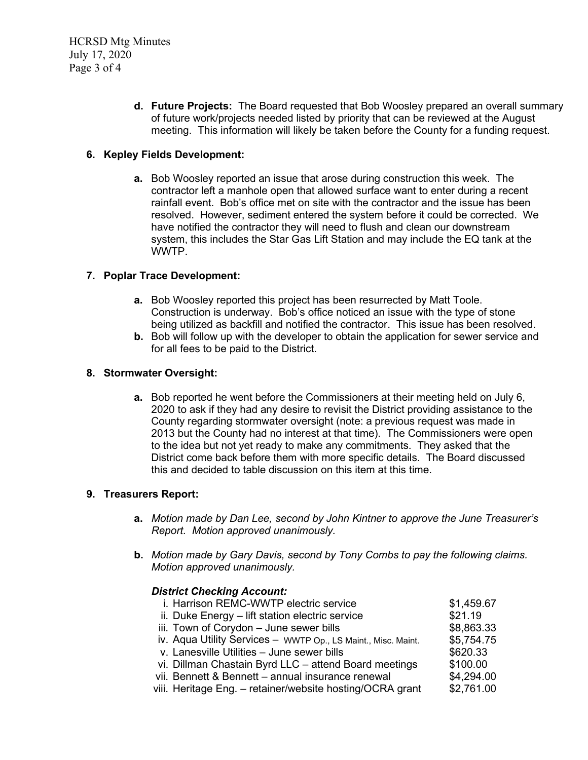**d. Future Projects:** The Board requested that Bob Woosley prepared an overall summary of future work/projects needed listed by priority that can be reviewed at the August meeting. This information will likely be taken before the County for a funding request.

### **6. Kepley Fields Development:**

**a.** Bob Woosley reported an issue that arose during construction this week. The contractor left a manhole open that allowed surface want to enter during a recent rainfall event.Bob's office met on site with the contractor and the issue has been resolved. However, sediment entered the system before it could be corrected. We have notified the contractor they will need to flush and clean our downstream system, this includes the Star Gas Lift Station and may include the EQ tank at the WWTP.

#### **7. Poplar Trace Development:**

- **a.** Bob Woosley reported this project has been resurrected by Matt Toole. Construction is underway. Bob's office noticed an issue with the type of stone being utilized as backfill and notified the contractor. This issue has been resolved.
- **b.** Bob will follow up with the developer to obtain the application for sewer service and for all fees to be paid to the District.

#### **8. Stormwater Oversight:**

**a.** Bob reported he went before the Commissioners at their meeting held on July 6, 2020 to ask if they had any desire to revisit the District providing assistance to the County regarding stormwater oversight (note: a previous request was made in 2013 but the County had no interest at that time). The Commissioners were open to the idea but not yet ready to make any commitments. They asked that the District come back before them with more specific details. The Board discussed this and decided to table discussion on this item at this time.

#### **9. Treasurers Report:**

- **a.** *Motion made by Dan Lee, second by John Kintner to approve the June Treasurer's Report. Motion approved unanimously.*
- **b.** *Motion made by Gary Davis, second by Tony Combs to pay the following claims. Motion approved unanimously.*

#### *District Checking Account:*

| i. Harrison REMC-WWTP electric service                        | \$1,459.67 |
|---------------------------------------------------------------|------------|
| ii. Duke Energy - lift station electric service               | \$21.19    |
| iii. Town of Corydon - June sewer bills                       | \$8,863.33 |
| iv. Aqua Utility Services - WWTP Op., LS Maint., Misc. Maint. | \$5,754.75 |
| v. Lanesville Utilities - June sewer bills                    | \$620.33   |
| vi. Dillman Chastain Byrd LLC - attend Board meetings         | \$100.00   |
| vii. Bennett & Bennett - annual insurance renewal             | \$4,294.00 |
| viii. Heritage Eng. – retainer/website hosting/OCRA grant     | \$2,761.00 |
|                                                               |            |